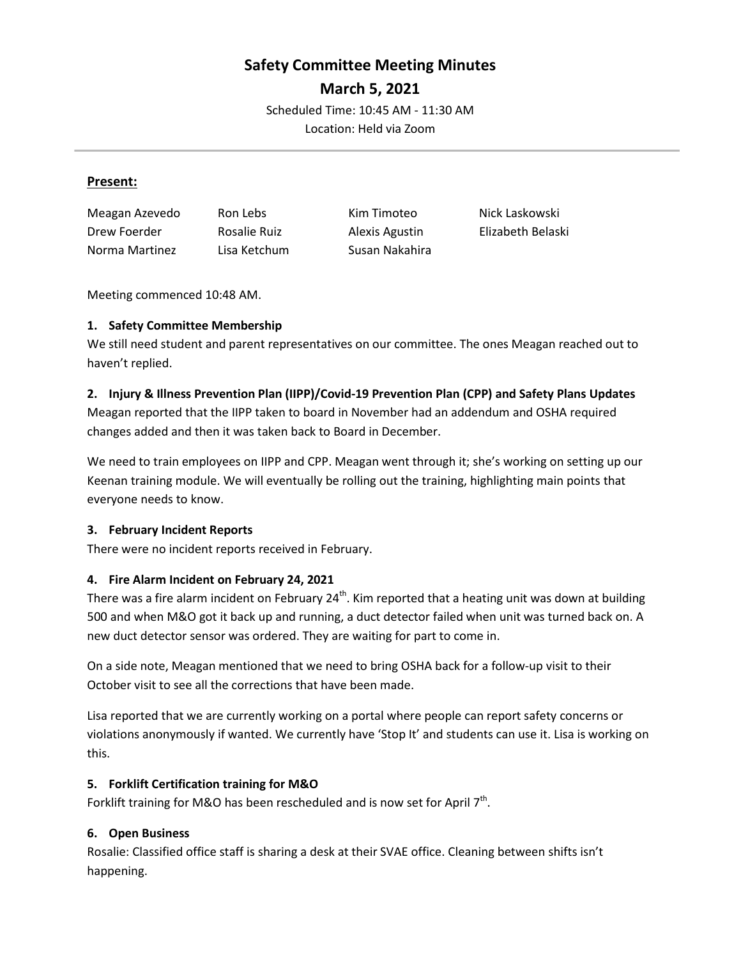# **Safety Committee Meeting Minutes**

**March 5, 2021**

Scheduled Time: 10:45 AM - 11:30 AM Location: Held via Zoom

#### **Present:**

| Meagan Azevedo | Ron Lebs     | Kim Timoteo    | Nick Laskowski    |
|----------------|--------------|----------------|-------------------|
| Drew Foerder   | Rosalie Ruiz | Alexis Agustin | Elizabeth Belaski |
| Norma Martinez | Lisa Ketchum | Susan Nakahira |                   |

Meeting commenced 10:48 AM.

## **1. Safety Committee Membership**

We still need student and parent representatives on our committee. The ones Meagan reached out to haven't replied.

#### **2. Injury & Illness Prevention Plan (IIPP)/Covid-19 Prevention Plan (CPP) and Safety Plans Updates**

Meagan reported that the IIPP taken to board in November had an addendum and OSHA required changes added and then it was taken back to Board in December.

We need to train employees on IIPP and CPP. Meagan went through it; she's working on setting up our Keenan training module. We will eventually be rolling out the training, highlighting main points that everyone needs to know.

## **3. February Incident Reports**

There were no incident reports received in February.

## **4. Fire Alarm Incident on February 24, 2021**

There was a fire alarm incident on February  $24^{th}$ . Kim reported that a heating unit was down at building 500 and when M&O got it back up and running, a duct detector failed when unit was turned back on. A new duct detector sensor was ordered. They are waiting for part to come in.

On a side note, Meagan mentioned that we need to bring OSHA back for a follow-up visit to their October visit to see all the corrections that have been made.

Lisa reported that we are currently working on a portal where people can report safety concerns or violations anonymously if wanted. We currently have 'Stop It' and students can use it. Lisa is working on this.

## **5. Forklift Certification training for M&O**

Forklift training for M&O has been rescheduled and is now set for April  $7<sup>th</sup>$ .

## **6. Open Business**

Rosalie: Classified office staff is sharing a desk at their SVAE office. Cleaning between shifts isn't happening.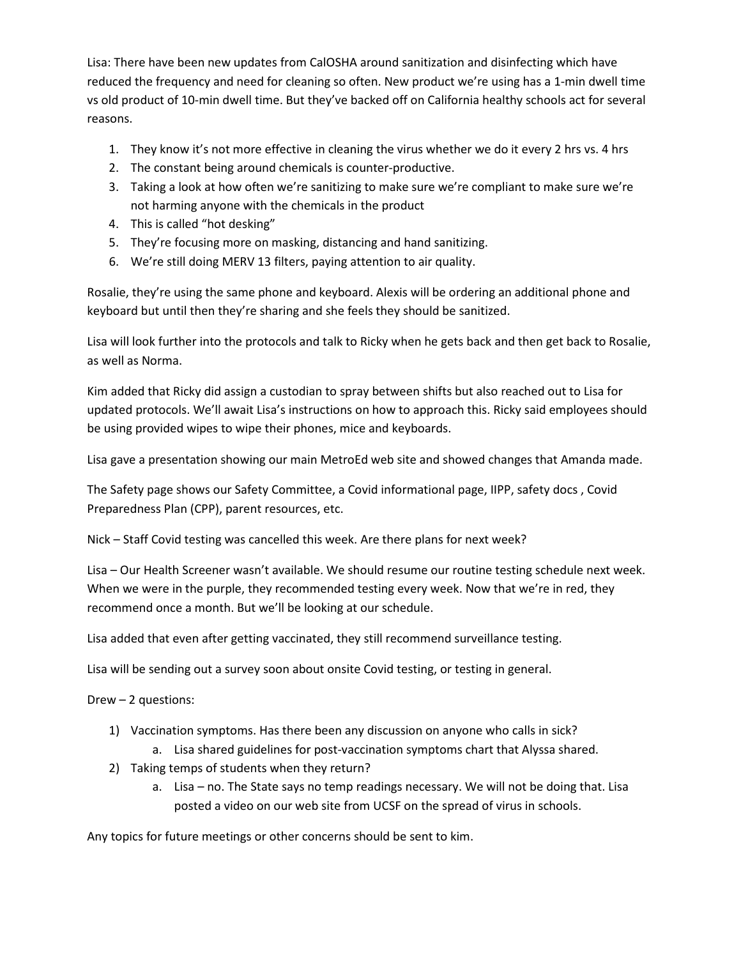Lisa: There have been new updates from CalOSHA around sanitization and disinfecting which have reduced the frequency and need for cleaning so often. New product we're using has a 1-min dwell time vs old product of 10-min dwell time. But they've backed off on California healthy schools act for several reasons.

- 1. They know it's not more effective in cleaning the virus whether we do it every 2 hrs vs. 4 hrs
- 2. The constant being around chemicals is counter-productive.
- 3. Taking a look at how often we're sanitizing to make sure we're compliant to make sure we're not harming anyone with the chemicals in the product
- 4. This is called "hot desking"
- 5. They're focusing more on masking, distancing and hand sanitizing.
- 6. We're still doing MERV 13 filters, paying attention to air quality.

Rosalie, they're using the same phone and keyboard. Alexis will be ordering an additional phone and keyboard but until then they're sharing and she feels they should be sanitized.

Lisa will look further into the protocols and talk to Ricky when he gets back and then get back to Rosalie, as well as Norma.

Kim added that Ricky did assign a custodian to spray between shifts but also reached out to Lisa for updated protocols. We'll await Lisa's instructions on how to approach this. Ricky said employees should be using provided wipes to wipe their phones, mice and keyboards.

Lisa gave a presentation showing our main MetroEd web site and showed changes that Amanda made.

The Safety page shows our Safety Committee, a Covid informational page, IIPP, safety docs , Covid Preparedness Plan (CPP), parent resources, etc.

Nick – Staff Covid testing was cancelled this week. Are there plans for next week?

Lisa – Our Health Screener wasn't available. We should resume our routine testing schedule next week. When we were in the purple, they recommended testing every week. Now that we're in red, they recommend once a month. But we'll be looking at our schedule.

Lisa added that even after getting vaccinated, they still recommend surveillance testing.

Lisa will be sending out a survey soon about onsite Covid testing, or testing in general.

Drew – 2 questions:

- 1) Vaccination symptoms. Has there been any discussion on anyone who calls in sick?
	- a. Lisa shared guidelines for post-vaccination symptoms chart that Alyssa shared.
- 2) Taking temps of students when they return?
	- a. Lisa no. The State says no temp readings necessary. We will not be doing that. Lisa posted a video on our web site from UCSF on the spread of virus in schools.

Any topics for future meetings or other concerns should be sent to kim.